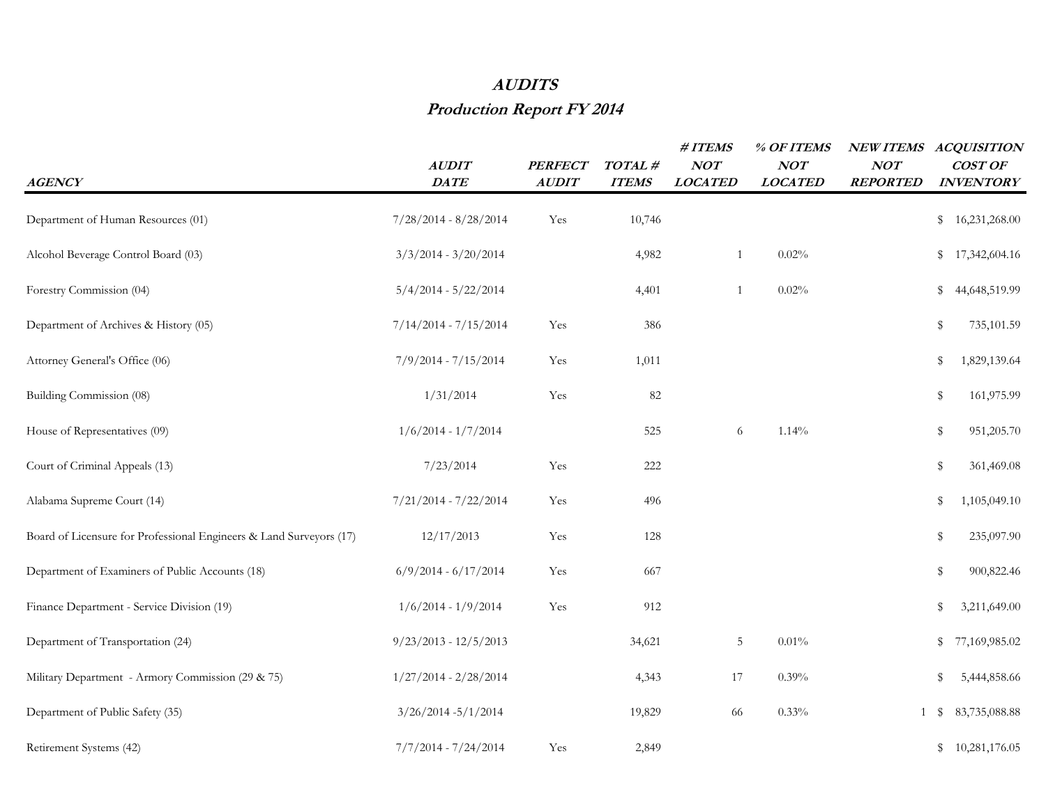## **AUDITS**

## **Production Report FY 2014**

| <b>AGENCY</b>                                                       | <b>AUDIT</b><br>DATE    | <b>PERFECT</b><br><b>AUDIT</b> | TOTAL#<br><b>ITEMS</b> | # ITEMS<br>NOT<br><b>LOCATED</b> | % OF ITEMS<br>NOT<br><b>LOCATED</b> | NEW ITEMS ACQUISITION<br>NOT<br><b>REPORTED</b> | COST OF<br><b>INVENTORY</b> |
|---------------------------------------------------------------------|-------------------------|--------------------------------|------------------------|----------------------------------|-------------------------------------|-------------------------------------------------|-----------------------------|
| Department of Human Resources (01)                                  | $7/28/2014 - 8/28/2014$ | Yes                            | 10,746                 |                                  |                                     |                                                 | \$<br>16,231,268.00         |
| Alcohol Beverage Control Board (03)                                 | $3/3/2014 - 3/20/2014$  |                                | 4,982                  | $\mathbf{1}$                     | 0.02%                               |                                                 | \$<br>17,342,604.16         |
| Forestry Commission (04)                                            | $5/4/2014 - 5/22/2014$  |                                | 4,401                  | $\mathbf{1}$                     | 0.02%                               |                                                 | \$<br>44,648,519.99         |
| Department of Archives & History (05)                               | $7/14/2014 - 7/15/2014$ | Yes                            | 386                    |                                  |                                     |                                                 | \$<br>735,101.59            |
| Attorney General's Office (06)                                      | $7/9/2014 - 7/15/2014$  | Yes                            | 1,011                  |                                  |                                     |                                                 | \$<br>1,829,139.64          |
| Building Commission (08)                                            | 1/31/2014               | Yes                            | 82                     |                                  |                                     |                                                 | \$<br>161,975.99            |
| House of Representatives (09)                                       | $1/6/2014 - 1/7/2014$   |                                | 525                    | 6                                | 1.14%                               |                                                 | \$<br>951,205.70            |
| Court of Criminal Appeals (13)                                      | 7/23/2014               | Yes                            | 222                    |                                  |                                     |                                                 | \$<br>361,469.08            |
| Alabama Supreme Court (14)                                          | $7/21/2014 - 7/22/2014$ | Yes                            | 496                    |                                  |                                     |                                                 | \$<br>1,105,049.10          |
| Board of Licensure for Professional Engineers & Land Surveyors (17) | 12/17/2013              | Yes                            | 128                    |                                  |                                     |                                                 | \$<br>235,097.90            |
| Department of Examiners of Public Accounts (18)                     | $6/9/2014 - 6/17/2014$  | Yes                            | 667                    |                                  |                                     |                                                 | \$<br>900,822.46            |
| Finance Department - Service Division (19)                          | $1/6/2014 - 1/9/2014$   | Yes                            | 912                    |                                  |                                     |                                                 | \$<br>3,211,649.00          |
| Department of Transportation (24)                                   | $9/23/2013 - 12/5/2013$ |                                | 34,621                 | $5\phantom{.0}$                  | $0.01\%$                            |                                                 | \$<br>77,169,985.02         |
| Military Department - Armory Commission (29 & 75)                   | $1/27/2014 - 2/28/2014$ |                                | 4,343                  | 17                               | 0.39%                               |                                                 | \$<br>5,444,858.66          |
| Department of Public Safety (35)                                    | $3/26/2014 - 5/1/2014$  |                                | 19,829                 | 66                               | 0.33%                               | 1                                               | \$<br>83,735,088.88         |
| Retirement Systems (42)                                             | $7/7/2014 - 7/24/2014$  | Yes                            | 2,849                  |                                  |                                     |                                                 | \$10,281,176.05             |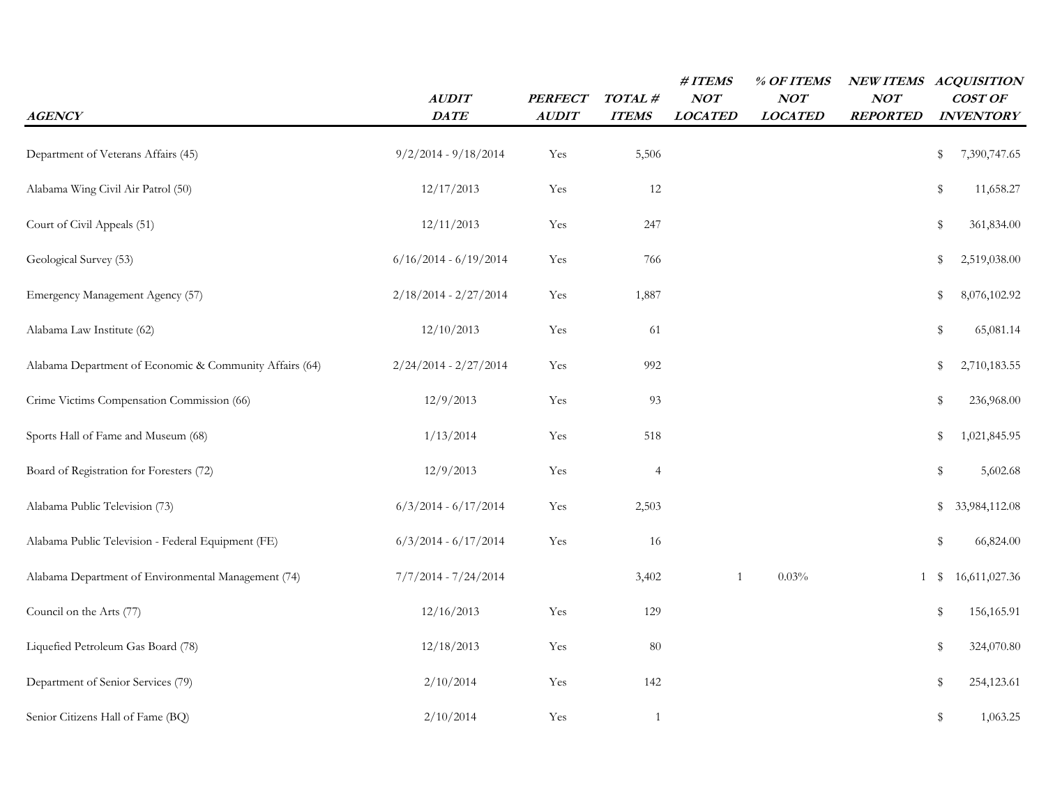| <b>AGENCY</b>                                           | <b>AUDIT</b><br>DATE    | <b>PERFECT</b><br><b>AUDIT</b> | TOTAL#<br><b>ITEMS</b> | #ITEMS<br>NOT<br><b>LOCATED</b> | % OF ITEMS<br>NOT<br><b>LOCATED</b> | NOT<br><b>REPORTED</b> | NEW ITEMS ACQUISITION<br>COST OF<br><b>INVENTORY</b> |
|---------------------------------------------------------|-------------------------|--------------------------------|------------------------|---------------------------------|-------------------------------------|------------------------|------------------------------------------------------|
| Department of Veterans Affairs (45)                     | $9/2/2014 - 9/18/2014$  | Yes                            | 5,506                  |                                 |                                     |                        | \$<br>7,390,747.65                                   |
| Alabama Wing Civil Air Patrol (50)                      | 12/17/2013              | Yes                            | 12                     |                                 |                                     |                        | $\mathbb S$<br>11,658.27                             |
| Court of Civil Appeals (51)                             | 12/11/2013              | Yes                            | 247                    |                                 |                                     |                        | $\mathbb S$<br>361,834.00                            |
| Geological Survey (53)                                  | $6/16/2014 - 6/19/2014$ | Yes                            | 766                    |                                 |                                     |                        | \$<br>2,519,038.00                                   |
| Emergency Management Agency (57)                        | $2/18/2014 - 2/27/2014$ | Yes                            | 1,887                  |                                 |                                     |                        | 8,076,102.92<br>\$                                   |
| Alabama Law Institute (62)                              | 12/10/2013              | Yes                            | 61                     |                                 |                                     |                        | \$<br>65,081.14                                      |
| Alabama Department of Economic & Community Affairs (64) | $2/24/2014 - 2/27/2014$ | Yes                            | 992                    |                                 |                                     |                        | \$<br>2,710,183.55                                   |
| Crime Victims Compensation Commission (66)              | 12/9/2013               | Yes                            | 93                     |                                 |                                     |                        | \$<br>236,968.00                                     |
| Sports Hall of Fame and Museum (68)                     | 1/13/2014               | Yes                            | 518                    |                                 |                                     |                        | \$<br>1,021,845.95                                   |
| Board of Registration for Foresters (72)                | 12/9/2013               | Yes                            | $\overline{4}$         |                                 |                                     |                        | \$<br>5,602.68                                       |
| Alabama Public Television (73)                          | $6/3/2014 - 6/17/2014$  | Yes                            | 2,503                  |                                 |                                     |                        | \$<br>33,984,112.08                                  |
| Alabama Public Television - Federal Equipment (FE)      | $6/3/2014 - 6/17/2014$  | Yes                            | 16                     |                                 |                                     |                        | \$<br>66,824.00                                      |
| Alabama Department of Environmental Management (74)     | $7/7/2014 - 7/24/2014$  |                                | 3,402                  | $\mathbf{1}$                    | 0.03%                               | 1                      | 16,611,027.36<br>S                                   |
| Council on the Arts (77)                                | 12/16/2013              | Yes                            | 129                    |                                 |                                     |                        | 156,165.91<br>\$                                     |
| Liquefied Petroleum Gas Board (78)                      | 12/18/2013              | Yes                            | 80                     |                                 |                                     |                        | 324,070.80<br>\$                                     |
| Department of Senior Services (79)                      | 2/10/2014               | Yes                            | 142                    |                                 |                                     |                        | \$<br>254,123.61                                     |
| Senior Citizens Hall of Fame (BQ)                       | 2/10/2014               | Yes                            | $\mathbf{1}$           |                                 |                                     |                        | \$<br>1,063.25                                       |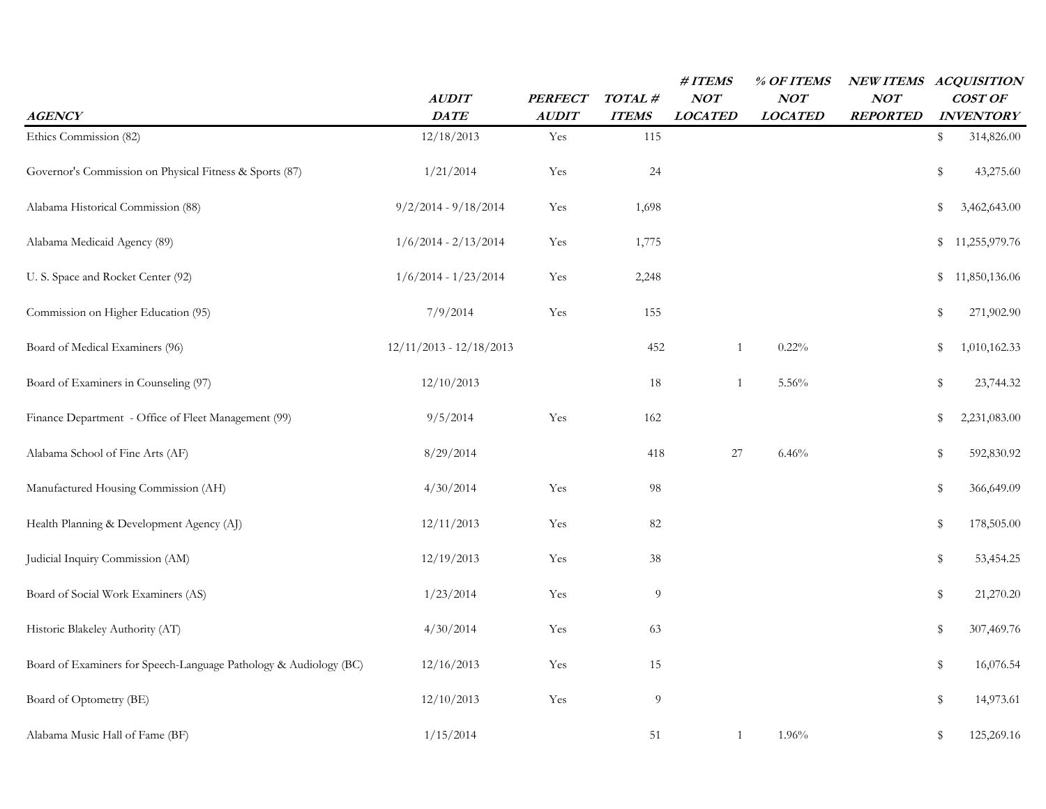|                                                                   |                           |                                |                        | #ITEMS                | % OF ITEMS            |                        | NEW ITEMS ACQUISITION       |  |
|-------------------------------------------------------------------|---------------------------|--------------------------------|------------------------|-----------------------|-----------------------|------------------------|-----------------------------|--|
| <b>AGENCY</b>                                                     | <b>AUDIT</b><br>DATE      | <b>PERFECT</b><br><b>AUDIT</b> | TOTAL#<br><b>ITEMS</b> | NOT<br><b>LOCATED</b> | NOT<br><b>LOCATED</b> | NOT<br><b>REPORTED</b> | COST OF<br><b>INVENTORY</b> |  |
| Ethics Commission (82)                                            | 12/18/2013                | Yes                            | 115                    |                       |                       |                        | \$<br>314,826.00            |  |
| Governor's Commission on Physical Fitness & Sports (87)           | 1/21/2014                 | Yes                            | 24                     |                       |                       |                        | \$<br>43,275.60             |  |
| Alabama Historical Commission (88)                                | $9/2/2014 - 9/18/2014$    | Yes                            | 1,698                  |                       |                       |                        | \$<br>3,462,643.00          |  |
| Alabama Medicaid Agency (89)                                      | $1/6/2014 - 2/13/2014$    | Yes                            | 1,775                  |                       |                       |                        | 11,255,979.76<br>\$         |  |
| U.S. Space and Rocket Center (92)                                 | $1/6/2014 - 1/23/2014$    | Yes                            | 2,248                  |                       |                       |                        | 11,850,136.06<br>\$         |  |
| Commission on Higher Education (95)                               | 7/9/2014                  | Yes                            | 155                    |                       |                       |                        | \$<br>271,902.90            |  |
| Board of Medical Examiners (96)                                   | $12/11/2013 - 12/18/2013$ |                                | 452                    | $\mathbf{1}$          | 0.22%                 |                        | \$<br>1,010,162.33          |  |
| Board of Examiners in Counseling (97)                             | 12/10/2013                |                                | 18                     | 1                     | 5.56%                 |                        | \$<br>23,744.32             |  |
| Finance Department - Office of Fleet Management (99)              | 9/5/2014                  | Yes                            | 162                    |                       |                       |                        | \$<br>2,231,083.00          |  |
| Alabama School of Fine Arts (AF)                                  | 8/29/2014                 |                                | 418                    | 27                    | 6.46%                 |                        | \$<br>592,830.92            |  |
| Manufactured Housing Commission (AH)                              | 4/30/2014                 | Yes                            | 98                     |                       |                       |                        | \$<br>366,649.09            |  |
| Health Planning & Development Agency (AJ)                         | 12/11/2013                | Yes                            | 82                     |                       |                       |                        | \$<br>178,505.00            |  |
| Judicial Inquiry Commission (AM)                                  | 12/19/2013                | Yes                            | $38\,$                 |                       |                       |                        | \$<br>53,454.25             |  |
| Board of Social Work Examiners (AS)                               | 1/23/2014                 | Yes                            | $\overline{9}$         |                       |                       |                        | \$<br>21,270.20             |  |
| Historic Blakeley Authority (AT)                                  | 4/30/2014                 | Yes                            | 63                     |                       |                       |                        | \$<br>307,469.76            |  |
| Board of Examiners for Speech-Language Pathology & Audiology (BC) | 12/16/2013                | Yes                            | 15                     |                       |                       |                        | \$<br>16,076.54             |  |
| Board of Optometry (BE)                                           | 12/10/2013                | Yes                            | $\overline{9}$         |                       |                       |                        | \$<br>14,973.61             |  |
| Alabama Music Hall of Fame (BF)                                   | 1/15/2014                 |                                | 51                     | $\overline{1}$        | 1.96%                 |                        | \$<br>125,269.16            |  |